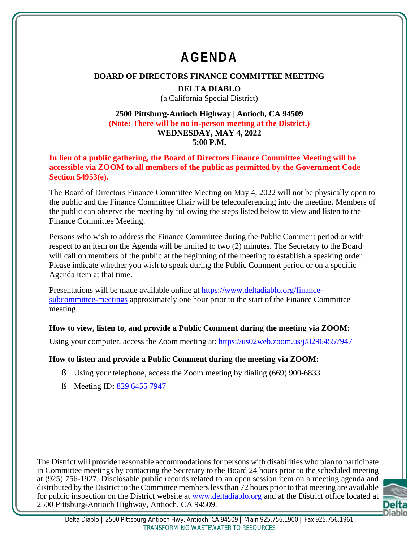# **AGENDA**

## **BOARD OF DIRECTORS FINANCE COMMITTEE MEETING**

#### **DELTA DIABLO**

(a California Special District)

#### **2500 Pittsburg-Antioch Highway | Antioch, CA 94509 (Note: There will be no in-person meeting at the District.) WEDNESDAY, MAY 4, 2022 5:00 P.M.**

**In lieu of a public gathering, the Board of Directors Finance Committee Meeting will be accessible via ZOOM to all members of the public as permitted by the Government Code Section 54953(e).**

The Board of Directors Finance Committee Meeting on May 4, 2022 will not be physically open to the public and the Finance Committee Chair will be teleconferencing into the meeting. Members of the public can observe the meeting by following the steps listed below to view and listen to the Finance Committee Meeting.

Persons who wish to address the Finance Committee during the Public Comment period or with respect to an item on the Agenda will be limited to two (2) minutes. The Secretary to the Board will call on members of the public at the beginning of the meeting to establish a speaking order. Please indicate whether you wish to speak during the Public Comment period or on a specific Agenda item at that time.

Presentations will be made available online at https://www.deltadiablo.org/financesubcommittee-meetings approximately one hour prior to the start of the Finance Committee meeting.

### **How to view, listen to, and provide a Public Comment during the meeting via ZOOM:**

Using your computer, access the Zoom meeting at: https://us02web.zoom.us/j/82964557947

### **How to listen and provide a Public Comment during the meeting via ZOOM:**

- § Using your telephone, access the Zoom meeting by dialing (669) 900-6833
- § Meeting ID**:** 829 6455 7947

The District will provide reasonable accommodations for persons with disabilities who plan to participate in Committee meetings by contacting the Secretary to the Board 24 hours prior to the scheduled meeting at (925) 756-1927. Disclosable public records related to an open session item on a meeting agenda and distributed by the District to the Committee members less than 72 hours prior to that meeting are available for public inspection on the District website at www.deltadiablo.org and at the District office located at 2500 Pittsburg-Antioch Highway, Antioch, CA 94509.

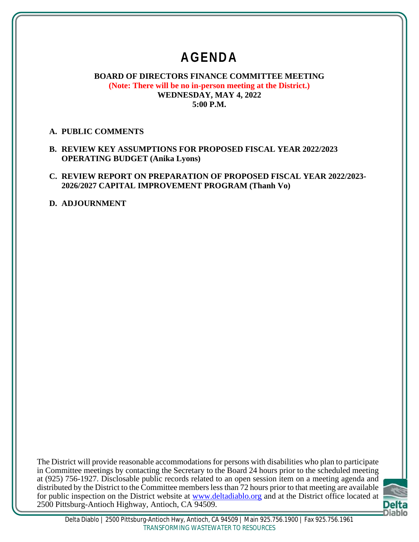## **AGENDA**

#### **BOARD OF DIRECTORS FINANCE COMMITTEE MEETING (Note: There will be no in-person meeting at the District.) WEDNESDAY, MAY 4, 2022 5:00 P.M.**

#### **A. PUBLIC COMMENTS**

**B. REVIEW KEY ASSUMPTIONS FOR PROPOSED FISCAL YEAR 2022/2023 OPERATING BUDGET (Anika Lyons)**

#### **C. REVIEW REPORT ON PREPARATION OF PROPOSED FISCAL YEAR 2022/2023- 2026/2027 CAPITAL IMPROVEMENT PROGRAM (Thanh Vo)**

**D. ADJOURNMENT**

The District will provide reasonable accommodations for persons with disabilities who plan to participate in Committee meetings by contacting the Secretary to the Board 24 hours prior to the scheduled meeting at (925) 756-1927. Disclosable public records related to an open session item on a meeting agenda and distributed by the District to the Committee members less than 72 hours prior to that meeting are available for public inspection on the District website at www.deltadiablo.org and at the District office located at 2500 Pittsburg-Antioch Highway, Antioch, CA 94509.

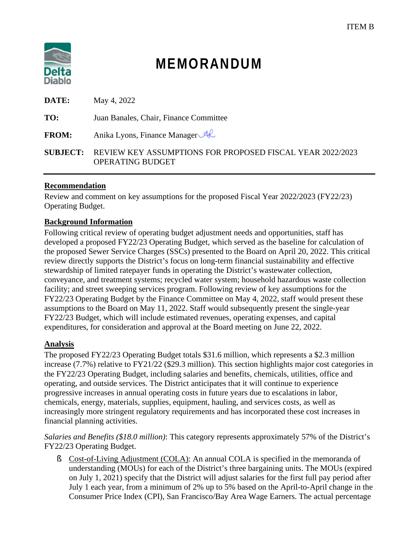

# **MEMORANDUM**

| DATE:        | May 4, 2022                                                                                          |
|--------------|------------------------------------------------------------------------------------------------------|
| TO:          | Juan Banales, Chair, Finance Committee                                                               |
| <b>FROM:</b> | Anika Lyons, Finance Manager                                                                         |
|              | <b>SUBJECT:</b> REVIEW KEY ASSUMPTIONS FOR PROPOSED FISCAL YEAR 2022/2023<br><b>OPERATING BUDGET</b> |

#### **Recommendation**

Review and comment on key assumptions for the proposed Fiscal Year 2022/2023 (FY22/23) Operating Budget.

#### **Background Information**

Following critical review of operating budget adjustment needs and opportunities, staff has developed a proposed FY22/23 Operating Budget, which served as the baseline for calculation of the proposed Sewer Service Charges (SSCs) presented to the Board on April 20, 2022. This critical review directly supports the District's focus on long-term financial sustainability and effective stewardship of limited ratepayer funds in operating the District's wastewater collection, conveyance, and treatment systems; recycled water system; household hazardous waste collection facility; and street sweeping services program. Following review of key assumptions for the FY22/23 Operating Budget by the Finance Committee on May 4, 2022, staff would present these assumptions to the Board on May 11, 2022. Staff would subsequently present the single-year FY22/23 Budget, which will include estimated revenues, operating expenses, and capital expenditures, for consideration and approval at the Board meeting on June 22, 2022.

#### **Analysis**

The proposed FY22/23 Operating Budget totals \$31.6 million, which represents a \$2.3 million increase (7.7%) relative to FY21/22 (\$29.3 million). This section highlights major cost categories in the FY22/23 Operating Budget, including salaries and benefits, chemicals, utilities, office and operating, and outside services. The District anticipates that it will continue to experience progressive increases in annual operating costs in future years due to escalations in labor, chemicals, energy, materials, supplies, equipment, hauling, and services costs, as well as increasingly more stringent regulatory requirements and has incorporated these cost increases in financial planning activities.

*Salaries and Benefits (\$18.0 million)*: This category represents approximately 57% of the District's FY22/23 Operating Budget.

§ Cost-of-Living Adjustment (COLA): An annual COLA is specified in the memoranda of understanding (MOUs) for each of the District's three bargaining units. The MOUs (expired on July 1, 2021) specify that the District will adjust salaries for the first full pay period after July 1 each year, from a minimum of 2% up to 5% based on the April-to-April change in the Consumer Price Index (CPI), San Francisco/Bay Area Wage Earners. The actual percentage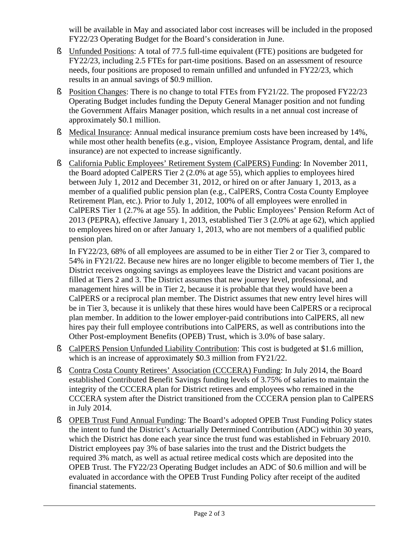will be available in May and associated labor cost increases will be included in the proposed FY22/23 Operating Budget for the Board's consideration in June.

- § Unfunded Positions: A total of 77.5 full-time equivalent (FTE) positions are budgeted for FY22/23, including 2.5 FTEs for part-time positions. Based on an assessment of resource needs, four positions are proposed to remain unfilled and unfunded in FY22/23, which results in an annual savings of \$0.9 million.
- § Position Changes: There is no change to total FTEs from FY21/22. The proposed FY22/23 Operating Budget includes funding the Deputy General Manager position and not funding the Government Affairs Manager position, which results in a net annual cost increase of approximately \$0.1 million.
- § Medical Insurance: Annual medical insurance premium costs have been increased by 14%, while most other health benefits (e.g., vision, Employee Assistance Program, dental, and life insurance) are not expected to increase significantly.
- § California Public Employees' Retirement System (CalPERS) Funding: In November 2011, the Board adopted CalPERS Tier 2 (2.0% at age 55), which applies to employees hired between July 1, 2012 and December 31, 2012, or hired on or after January 1, 2013, as a member of a qualified public pension plan (e.g., CalPERS, Contra Costa County Employee Retirement Plan, etc.). Prior to July 1, 2012, 100% of all employees were enrolled in CalPERS Tier 1 (2.7% at age 55). In addition, the Public Employees' Pension Reform Act of 2013 (PEPRA), effective January 1, 2013, established Tier 3 (2.0% at age 62), which applied to employees hired on or after January 1, 2013, who are not members of a qualified public pension plan.

In FY22/23, 68% of all employees are assumed to be in either Tier 2 or Tier 3, compared to 54% in FY21/22. Because new hires are no longer eligible to become members of Tier 1, the District receives ongoing savings as employees leave the District and vacant positions are filled at Tiers 2 and 3. The District assumes that new journey level, professional, and management hires will be in Tier 2, because it is probable that they would have been a CalPERS or a reciprocal plan member. The District assumes that new entry level hires will be in Tier 3, because it is unlikely that these hires would have been CalPERS or a reciprocal plan member. In addition to the lower employer-paid contributions into CalPERS, all new hires pay their full employee contributions into CalPERS, as well as contributions into the Other Post-employment Benefits (OPEB) Trust, which is 3.0% of base salary.

- § CalPERS Pension Unfunded Liability Contribution: This cost is budgeted at \$1.6 million, which is an increase of approximately \$0.3 million from FY21/22.
- § Contra Costa County Retirees' Association (CCCERA) Funding: In July 2014, the Board established Contributed Benefit Savings funding levels of 3.75% of salaries to maintain the integrity of the CCCERA plan for District retirees and employees who remained in the CCCERA system after the District transitioned from the CCCERA pension plan to CalPERS in July 2014.
- § OPEB Trust Fund Annual Funding: The Board's adopted OPEB Trust Funding Policy states the intent to fund the District's Actuarially Determined Contribution (ADC) within 30 years, which the District has done each year since the trust fund was established in February 2010. District employees pay 3% of base salaries into the trust and the District budgets the required 3% match, as well as actual retiree medical costs which are deposited into the OPEB Trust. The FY22/23 Operating Budget includes an ADC of \$0.6 million and will be evaluated in accordance with the OPEB Trust Funding Policy after receipt of the audited financial statements.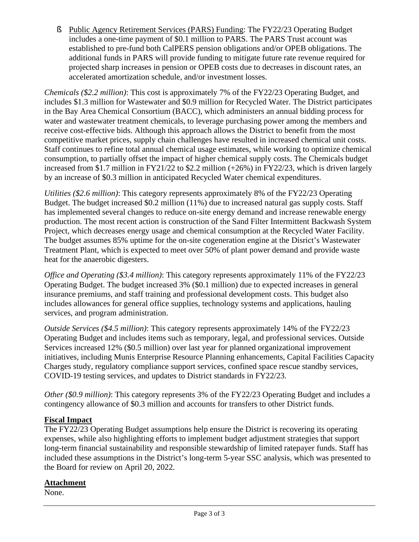§ Public Agency Retirement Services (PARS) Funding: The FY22/23 Operating Budget includes a one-time payment of \$0.1 million to PARS. The PARS Trust account was established to pre-fund both CalPERS pension obligations and/or OPEB obligations. The additional funds in PARS will provide funding to mitigate future rate revenue required for projected sharp increases in pension or OPEB costs due to decreases in discount rates, an accelerated amortization schedule, and/or investment losses.

*Chemicals (\$2.2 million)*: This cost is approximately 7% of the FY22/23 Operating Budget, and includes \$1.3 million for Wastewater and \$0.9 million for Recycled Water. The District participates in the Bay Area Chemical Consortium (BACC), which administers an annual bidding process for water and wastewater treatment chemicals, to leverage purchasing power among the members and receive cost-effective bids. Although this approach allows the District to benefit from the most competitive market prices, supply chain challenges have resulted in increased chemical unit costs. Staff continues to refine total annual chemical usage estimates, while working to optimize chemical consumption, to partially offset the impact of higher chemical supply costs. The Chemicals budget increased from \$1.7 million in FY21/22 to \$2.2 million (+26%) in FY22/23, which is driven largely by an increase of \$0.3 million in anticipated Recycled Water chemical expenditures.

*Utilities (\$2.6 million)*: This category represents approximately 8% of the FY22/23 Operating Budget. The budget increased \$0.2 million (11%) due to increased natural gas supply costs. Staff has implemented several changes to reduce on-site energy demand and increase renewable energy production. The most recent action is construction of the Sand Filter Intermittent Backwash System Project, which decreases energy usage and chemical consumption at the Recycled Water Facility. The budget assumes 85% uptime for the on-site cogeneration engine at the Disrict's Wastewater Treatment Plant, which is expected to meet over 50% of plant power demand and provide waste heat for the anaerobic digesters.

*Office and Operating (\$3.4 million)*: This category represents approximately 11% of the FY22/23 Operating Budget. The budget increased 3% (\$0.1 million) due to expected increases in general insurance premiums, and staff training and professional development costs. This budget also includes allowances for general office supplies, technology systems and applications, hauling services, and program administration.

*Outside Services (\$4.5 million)*: This category represents approximately 14% of the FY22/23 Operating Budget and includes items such as temporary, legal, and professional services. Outside Services increased 12% (\$0.5 million) over last year for planned organizational improvement initiatives, including Munis Enterprise Resource Planning enhancements, Capital Facilities Capacity Charges study, regulatory compliance support services, confined space rescue standby services, COVID-19 testing services, and updates to District standards in FY22/23.

*Other (\$0.9 million)*: This category represents 3% of the FY22/23 Operating Budget and includes a contingency allowance of \$0.3 million and accounts for transfers to other District funds.

#### **Fiscal Impact**

The FY22/23 Operating Budget assumptions help ensure the District is recovering its operating expenses, while also highlighting efforts to implement budget adjustment strategies that support long-term financial sustainability and responsible stewardship of limited ratepayer funds. Staff has included these assumptions in the District's long-term 5-year SSC analysis, which was presented to the Board for review on April 20, 2022.

#### **Attachment**

None.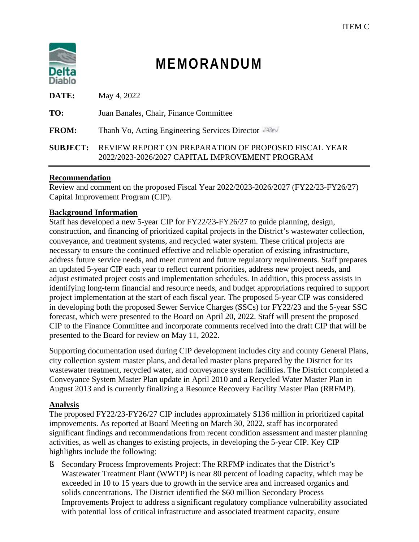

# **MEMORANDUM**

| DATE:           | May 4, 2022                                                                                             |
|-----------------|---------------------------------------------------------------------------------------------------------|
| TO:             | Juan Banales, Chair, Finance Committee                                                                  |
| <b>FROM:</b>    | Thanh Vo, Acting Engineering Services Director                                                          |
| <b>SUBJECT:</b> | REVIEW REPORT ON PREPARATION OF PROPOSED FISCAL YEAR<br>2022/2023-2026/2027 CAPITAL IMPROVEMENT PROGRAM |

#### **Recommendation**

Review and comment on the proposed Fiscal Year 2022/2023-2026/2027 (FY22/23-FY26/27) Capital Improvement Program (CIP).

#### **Background Information**

Staff has developed a new 5-year CIP for FY22/23-FY26/27 to guide planning, design, construction, and financing of prioritized capital projects in the District's wastewater collection, conveyance, and treatment systems, and recycled water system. These critical projects are necessary to ensure the continued effective and reliable operation of existing infrastructure, address future service needs, and meet current and future regulatory requirements. Staff prepares an updated 5-year CIP each year to reflect current priorities, address new project needs, and adjust estimated project costs and implementation schedules. In addition, this process assists in identifying long-term financial and resource needs, and budget appropriations required to support project implementation at the start of each fiscal year. The proposed 5-year CIP was considered in developing both the proposed Sewer Service Charges (SSCs) for FY22/23 and the 5-year SSC forecast, which were presented to the Board on April 20, 2022. Staff will present the proposed CIP to the Finance Committee and incorporate comments received into the draft CIP that will be presented to the Board for review on May 11, 2022.

Supporting documentation used during CIP development includes city and county General Plans, city collection system master plans, and detailed master plans prepared by the District for its wastewater treatment, recycled water, and conveyance system facilities. The District completed a Conveyance System Master Plan update in April 2010 and a Recycled Water Master Plan in August 2013 and is currently finalizing a Resource Recovery Facility Master Plan (RRFMP).

#### **Analysis**

The proposed FY22/23-FY26/27 CIP includes approximately \$136 million in prioritized capital improvements. As reported at Board Meeting on March 30, 2022, staff has incorporated significant findings and recommendations from recent condition assessment and master planning activities, as well as changes to existing projects, in developing the 5-year CIP. Key CIP highlights include the following:

§ Secondary Process Improvements Project: The RRFMP indicates that the District's Wastewater Treatment Plant (WWTP) is near 80 percent of loading capacity, which may be exceeded in 10 to 15 years due to growth in the service area and increased organics and solids concentrations. The District identified the \$60 million Secondary Process Improvements Project to address a significant regulatory compliance vulnerability associated with potential loss of critical infrastructure and associated treatment capacity, ensure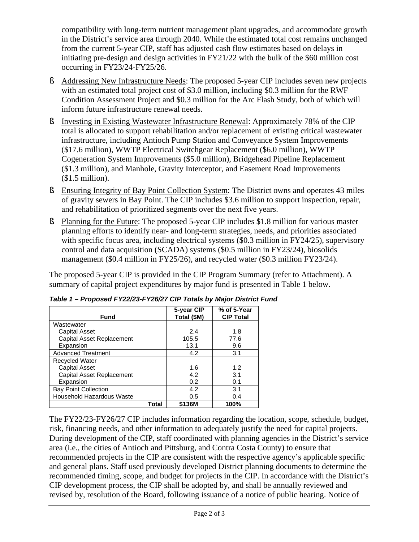compatibility with long-term nutrient management plant upgrades, and accommodate growth in the District's service area through 2040. While the estimated total cost remains unchanged from the current 5-year CIP, staff has adjusted cash flow estimates based on delays in initiating pre-design and design activities in FY21/22 with the bulk of the \$60 million cost occurring in FY23/24-FY25/26.

- § Addressing New Infrastructure Needs: The proposed 5-year CIP includes seven new projects with an estimated total project cost of \$3.0 million, including \$0.3 million for the RWF Condition Assessment Project and \$0.3 million for the Arc Flash Study, both of which will inform future infrastructure renewal needs.
- § Investing in Existing Wastewater Infrastructure Renewal: Approximately 78% of the CIP total is allocated to support rehabilitation and/or replacement of existing critical wastewater infrastructure, including Antioch Pump Station and Conveyance System Improvements (\$17.6 million), WWTP Electrical Switchgear Replacement (\$6.0 million), WWTP Cogeneration System Improvements (\$5.0 million), Bridgehead Pipeline Replacement (\$1.3 million), and Manhole, Gravity Interceptor, and Easement Road Improvements (\$1.5 million).
- § Ensuring Integrity of Bay Point Collection System: The District owns and operates 43 miles of gravity sewers in Bay Point. The CIP includes \$3.6 million to support inspection, repair, and rehabilitation of prioritized segments over the next five years.
- § Planning for the Future: The proposed 5-year CIP includes \$1.8 million for various master planning efforts to identify near- and long-term strategies, needs, and priorities associated with specific focus area, including electrical systems (\$0.3 million in FY24/25), supervisory control and data acquisition (SCADA) systems (\$0.5 million in FY23/24), biosolids management (\$0.4 million in FY25/26), and recycled water (\$0.3 million FY23/24).

The proposed 5-year CIP is provided in the CIP Program Summary (refer to Attachment). A summary of capital project expenditures by major fund is presented in Table 1 below.

| <b>Fund</b>                      | 5-year CIP<br>Total (\$M) | % of 5-Year<br><b>CIP Total</b> |
|----------------------------------|---------------------------|---------------------------------|
| Wastewater                       |                           |                                 |
| Capital Asset                    | 2.4                       | 1.8                             |
| Capital Asset Replacement        | 105.5                     | 77.6                            |
| Expansion                        | 13.1                      | 9.6                             |
| <b>Advanced Treatment</b>        | 4.2                       | 3.1                             |
| Recycled Water                   |                           |                                 |
| <b>Capital Asset</b>             | 1.6                       | 1.2                             |
| Capital Asset Replacement        | 4.2                       | 3.1                             |
| Expansion                        | 0.2                       | 0.1                             |
| <b>Bay Point Collection</b>      | 4.2                       | 3.1                             |
| <b>Household Hazardous Waste</b> | 0.5                       | 0.4                             |
| Total                            | \$136M                    | 100%                            |

*Table 1 – Proposed FY22/23-FY26/27 CIP Totals by Major District Fund*

The FY22/23-FY26/27 CIP includes information regarding the location, scope, schedule, budget, risk, financing needs, and other information to adequately justify the need for capital projects. During development of the CIP, staff coordinated with planning agencies in the District's service area (i.e., the cities of Antioch and Pittsburg, and Contra Costa County) to ensure that recommended projects in the CIP are consistent with the respective agency's applicable specific and general plans. Staff used previously developed District planning documents to determine the recommended timing, scope, and budget for projects in the CIP. In accordance with the District's CIP development process, the CIP shall be adopted by, and shall be annually reviewed and revised by, resolution of the Board, following issuance of a notice of public hearing. Notice of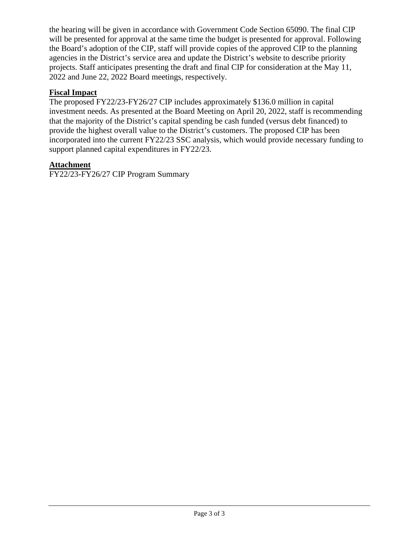the hearing will be given in accordance with Government Code Section 65090. The final CIP will be presented for approval at the same time the budget is presented for approval. Following the Board's adoption of the CIP, staff will provide copies of the approved CIP to the planning agencies in the District's service area and update the District's website to describe priority projects. Staff anticipates presenting the draft and final CIP for consideration at the May 11, 2022 and June 22, 2022 Board meetings, respectively.

#### **Fiscal Impact**

The proposed FY22/23-FY26/27 CIP includes approximately \$136.0 million in capital investment needs. As presented at the Board Meeting on April 20, 2022, staff is recommending that the majority of the District's capital spending be cash funded (versus debt financed) to provide the highest overall value to the District's customers. The proposed CIP has been incorporated into the current FY22/23 SSC analysis, which would provide necessary funding to support planned capital expenditures in FY22/23.

#### **Attachment**

FY22/23-FY26/27 CIP Program Summary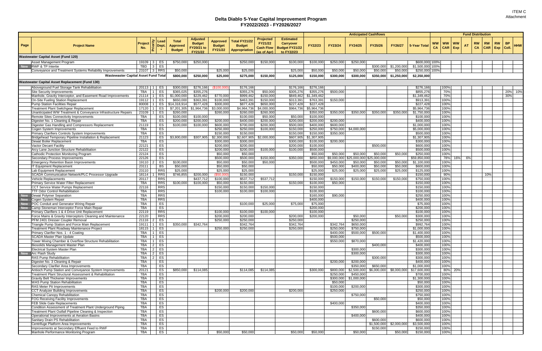|      |                                                                                                  |                          |                                              |                                           |                                                           |                                                    |                                                        |                                                                |                                                                             | <b>Anticipated Cashflows</b> |                        |                                       |                      |                          |                             |                                     |                             | <b>Fund Distribution</b> |           |                                           |            |
|------|--------------------------------------------------------------------------------------------------|--------------------------|----------------------------------------------|-------------------------------------------|-----------------------------------------------------------|----------------------------------------------------|--------------------------------------------------------|----------------------------------------------------------------|-----------------------------------------------------------------------------|------------------------------|------------------------|---------------------------------------|----------------------|--------------------------|-----------------------------|-------------------------------------|-----------------------------|--------------------------|-----------|-------------------------------------------|------------|
| Page | <b>Project Name</b>                                                                              | <b>Project</b><br>No.    | Priority<br><b>Dept</b>                      | <b>Total</b><br>Approved<br><b>Budget</b> | Adjusted<br><b>Budget</b><br>FY20/21 to<br><b>FY21/22</b> | <b>Approved</b><br><b>Budget</b><br><b>FY21/22</b> | Total FY21/22<br><b>Budget</b><br><b>Appropriation</b> | <b>Projected</b><br>FY21/22<br><b>Cash Flow</b><br>(as of Apr) | <b>Estimated</b><br><b>Carryover</b><br><b>Budget FY21/22</b><br>to FY22/23 | FY22/23                      | FY23/24                | FY24/25                               | FY25/26              | FY26/27                  | 5-Year Total                | <b>WW</b><br><b>WW</b><br><b>CA</b> | <b>WW</b><br><b>CAR</b> Exp | RW<br><b>CA</b>          | <b>RW</b> | <b>RW</b><br><b>BP</b><br>$CAR$ Exp Coll. | <b>HHW</b> |
|      | <b>Wastewater Capital Asset (Fund 120)</b>                                                       |                          |                                              |                                           |                                                           |                                                    |                                                        |                                                                |                                                                             |                              |                        |                                       |                      |                          |                             |                                     |                             |                          |           |                                           |            |
|      | Asset Management Program                                                                         | 19109                    | ES<br>3 <sup>1</sup>                         | \$750,000                                 | \$250,000                                                 |                                                    | \$250,000                                              | \$150,000                                                      | \$100,000                                                                   | \$100,000                    | \$250,000              | \$250,000                             |                      |                          | \$600,000 100%              |                                     |                             |                          |           |                                           |            |
|      | <b>RWF &amp; TP Intertie</b>                                                                     | TBD                      | ES<br>3 <sup>1</sup>                         |                                           |                                                           |                                                    |                                                        |                                                                |                                                                             |                              |                        |                                       | \$300,000            | \$1,200,000              | \$1,500,000 100%            |                                     |                             |                          |           |                                           |            |
|      | Conveyance and Treatment Systems Reliability Improvements                                        |                          | 23107 3 RRS                                  | \$50,000                                  |                                                           | \$25,000                                           | \$25,000                                               |                                                                | \$25,000                                                                    | \$50,000                     | \$50,000               | \$50,000                              | \$50,000             | \$50,000                 | \$250,000 100%              |                                     |                             |                          |           |                                           |            |
|      | <b>Wastewaster Capital Asset Fund Total</b>                                                      |                          |                                              | \$800,000                                 | \$250,000                                                 | \$25,000                                           | \$275,000                                              | \$150,000                                                      | \$125,000                                                                   | \$150,000                    | \$300,000              | \$300,000                             | \$350,000            | \$1,250,000              | \$2,350,000                 |                                     |                             |                          |           |                                           |            |
|      | <b>Wastewater Capital Asset Replacement (Fund 130)</b>                                           |                          |                                              |                                           |                                                           |                                                    |                                                        |                                                                |                                                                             |                              |                        |                                       |                      |                          |                             |                                     |                             |                          |           |                                           |            |
|      | Aboveground Fuel Storage Tank Rehabilitation                                                     | $20113$   1              | ES                                           | \$300,000                                 | \$276,166                                                 | (\$100,000                                         | \$176,166                                              |                                                                | \$176,166                                                                   | \$276,166                    |                        |                                       |                      |                          | \$276,166                   | 100%                                |                             |                          |           |                                           |            |
|      | Site Security Improvements                                                                       | TBA                      | ES                                           | \$365,025                                 | \$355,276                                                 |                                                    | \$355,276                                              | \$50,000                                                       | \$305,276                                                                   | \$355,276                    | \$500,000              |                                       |                      |                          | \$855,276                   | 70%                                 |                             |                          |           |                                           | 20% 10%    |
|      | Manhole, Gravity Interceptor, and Easement Road Improvements                                     | 21114                    | ES                                           | \$1,000,000                               | \$229,462                                                 | \$770,000                                          | \$999,462                                              | \$150,000                                                      | \$849,462                                                                   | \$1,349,462                  |                        |                                       |                      |                          | \$1,349,462                 | 70%                                 |                             |                          |           | 30%                                       |            |
|      | On-Site Fueling Station Replacement<br><b>Pump Station Facilities Repair</b>                     | 19112<br>80008           | ES<br>ES                                     | \$650,000<br>\$14,318,914                 | \$363,39<br>\$577,428                                     | \$100,000<br>\$300,000                             | \$463,391<br>\$877,428                                 | \$150,000<br>\$650,000                                         | \$313,39<br>\$227,428                                                       | \$763,39<br>\$227,428        | \$150,000              |                                       |                      |                          | \$913,391<br>\$227,428      | 100%<br>100%                        |                             |                          |           |                                           |            |
|      | Treatment Plant Switchgear Replacement                                                           | 17120                    | ES                                           | \$7,201,305                               | \$1,964,736                                               | \$3,000,000                                        | \$4,964,736                                            | \$4,000,000                                                    | \$964,736                                                                   | \$5,964,736                  |                        |                                       |                      |                          | \$5,964,736                 | 100%                                |                             |                          |           |                                           |            |
|      | Unanticipated WW Treatment & Conveyance Infrastructure Repairs                                   | 23109                    | ES                                           | \$260,000                                 |                                                           | \$260,000                                          | \$260,000                                              | \$260,000                                                      |                                                                             | \$350,000                    | \$350,000              | \$350,000                             | \$350,00             | \$350,000                | \$1,750,000                 | 100%                                |                             |                          |           |                                           |            |
|      | Remote Sites Connectivity Improvements                                                           | TBA                      | ES                                           | \$100,000                                 | \$100,000                                                 |                                                    | \$100,000                                              | \$50,000                                                       | \$50,000                                                                    | \$100,000                    |                        |                                       |                      |                          | \$100,000                   | 100%                                |                             |                          |           |                                           |            |
|      | Digester No. 1 Cleaning & Repair<br>Digester Gas Handling and Compressors Replacement            | <b>TBA</b><br>21119      | ES<br>ES                                     | \$200,000<br>\$100,000                    | \$200,000<br>\$100,000                                    | \$200,000<br>\$600,000                             | \$400,000<br>\$700,000                                 | \$200,000<br>\$200,000                                         | \$200,000<br>\$500,000                                                      | \$200,000<br>\$400,000       | \$200,000<br>\$600,000 |                                       |                      |                          | \$400,000<br>\$1,000,000    | 100%<br>100%                        |                             |                          |           |                                           |            |
|      | Cogen System Improvements                                                                        | <b>TBA</b>               | ES                                           |                                           |                                                           | \$250,000                                          | \$250,000                                              | \$100,000                                                      | \$150,000                                                                   | \$250,000                    | \$750,000              | \$4,000,000                           |                      |                          | \$5,000,000                 | 100%                                |                             |                          |           |                                           |            |
|      | Primary Clarifiers Controls System Improvements                                                  | TBA                      | ES                                           |                                           |                                                           | \$150,000                                          | \$150,000                                              |                                                                | \$150,000                                                                   | \$150,000                    | \$350,000              |                                       |                      |                          | \$500,000                   | 100%                                |                             |                          |           |                                           |            |
|      | Bridgehead Temporary Pipeline Installation & Replacement                                         | 21123                    | ES                                           | \$3,800,000                               | \$307,905                                                 | \$2,300,000                                        | \$2,607,905                                            | \$2,000,000                                                    | \$607,905                                                                   | \$1,307,905                  |                        |                                       |                      |                          | \$1,307,905                 | 100%                                |                             |                          |           |                                           |            |
|      | Dewat Boiler Replacement<br><b>Vactor Decant Facility</b>                                        | <b>TBA</b><br>22121      | ES<br>ES                                     |                                           |                                                           | \$300,000<br>\$200,000                             | \$300,000<br>\$200,000                                 |                                                                | \$300,000<br>\$200,000                                                      | \$100,000<br>\$100,000       | \$200,000              |                                       | \$500,000            |                          | \$300,000<br>\$600,000      | 100%<br>100%                        |                             |                          |           |                                           |            |
|      | Arcy Lane Junction Structure Rehabilitation                                                      | 22122                    | ES                                           |                                           |                                                           | \$200,000                                          | \$200,000                                              | \$100,000                                                      | \$100,000                                                                   | \$500,000                    |                        |                                       |                      |                          | \$500,000                   | 100%                                |                             |                          |           |                                           |            |
|      | Cathodic Protection Monitoring Program                                                           | 22124                    | ES                                           |                                           |                                                           | \$50,000                                           | \$50,000                                               |                                                                |                                                                             | \$50,000                     | \$50,000               | \$50,000                              | \$50,000             | \$50,000                 | \$250,000                   | 100%                                |                             |                          |           |                                           |            |
|      | Secondary Process Improvements                                                                   | 22126                    | ES                                           |                                           |                                                           | \$500,000                                          | \$500,000                                              | \$150,000                                                      | \$350,000                                                                   | \$850,000                    |                        | \$9,000,000 \$25,000,000 \$25,000,000 |                      |                          | \$59,850,000                | 78%                                 |                             | 16% 6%                   |           |                                           |            |
|      | <b>Emergency Retention Basin Improvements</b><br><b>IT Equipment Replacement</b>                 | 19110<br>23111           | ES<br><b>BS</b>                              | \$100,000<br>\$50,000                     |                                                           | \$50,000<br>\$50,000                               | \$50,000<br>\$50,000                                   | \$50,000                                                       |                                                                             | \$500,000<br>\$50,000        | \$450,000<br>\$50,000  | \$50,000<br>\$400,000                 | \$50,000<br>\$50,000 | \$50,000<br>\$50,000     | \$1,100,000<br>\$600,000    | 100%<br>100%                        |                             |                          |           |                                           |            |
|      | Lab Equipment Replacement                                                                        | 23110                    | <b>RRS</b>                                   | \$25,000                                  |                                                           | \$25,000                                           | \$25,000                                               |                                                                |                                                                             | \$25,000                     | \$25,000               | \$25,000                              | \$25,000             | \$25,000                 | \$125,000                   | 100%                                |                             |                          |           |                                           |            |
|      | SCADA Communication Network/PLC Processor Upgrade                                                | 18114                    | <b>RRS</b>                                   | \$746,855                                 | \$200,000                                                 | (\$50,000                                          | \$150,000                                              |                                                                | \$150,000                                                                   | \$150,000                    |                        |                                       |                      |                          | \$150,000                   | 90%                                 |                             |                          | 10%       |                                           |            |
|      | <b>Vehicle Replacements</b>                                                                      | 20117                    | <b>RRS</b>                                   |                                           | \$437,712                                                 | \$100,000                                          | \$537,712                                              | \$537,712                                                      |                                                                             | \$150,000                    | \$150,000              | \$150,000                             | \$150,00             | \$150,000                | \$750,000                   | 100%                                |                             |                          |           |                                           |            |
|      | Primary Service Water Filter Replacement<br><b>CCT Service Water Pumps Replacement</b>           | <b>TBA</b><br>22116      | <b>RRS</b><br><b>RRS</b>                     | \$100,000                                 | \$100,000                                                 | \$50,000<br>\$150,000                              | \$150,000<br>\$150,000                                 | \$150,000                                                      | \$150,000                                                                   | \$100,000<br>\$150,000       | \$50,000               |                                       |                      |                          | \$150,000<br>\$150,000      | 100%<br>100%                        |                             |                          |           |                                           |            |
|      | <b>TTF Odor Control Rehabilitation</b>                                                           | <b>TBA</b>               | <b>RRS</b>                                   |                                           |                                                           | \$100,000                                          | \$100,000                                              | \$100,000                                                      |                                                                             | \$100,000                    |                        |                                       |                      |                          | \$100,000                   | 100%                                |                             |                          |           |                                           |            |
|      | Dewat Polymer Separation                                                                         | TBA                      | <b>RRS</b>                                   |                                           |                                                           |                                                    |                                                        |                                                                |                                                                             | \$160,000                    | \$90,000               |                                       |                      |                          | \$250,000                   | 100%                                |                             |                          |           |                                           |            |
|      | Cogen System Repair                                                                              | <b>TBA</b>               | <b>RRS</b>                                   |                                           |                                                           |                                                    |                                                        |                                                                |                                                                             | \$400,000                    |                        |                                       |                      |                          | \$400,000                   | 100%                                |                             |                          |           |                                           |            |
|      | POC Conduit and Generator Wiring Repair<br>Camp Stoneman Interceptor Force Main Repair           | TBA<br>TBA               | ES<br>ES                                     |                                           |                                                           |                                                    | \$100,000                                              | \$25,000                                                       | \$75,000                                                                    | \$75,000<br>\$200,000        |                        |                                       |                      |                          | \$75,000<br>\$200,000       | 100%<br>100%                        |                             |                          |           |                                           |            |
|      | Primary Clarifiers 1 & 4 Drive Unit Replacement                                                  | 22119                    | <b>RRS</b>                                   |                                           |                                                           | \$100,00                                           | \$100,000                                              | \$100,00                                                       |                                                                             | \$100,000                    |                        |                                       |                      |                          | \$100,000                   | 100%                                |                             |                          |           |                                           |            |
|      | Force Mains & Gravity Interceptors Cleaning and Maintenance                                      | 22120                    | <b>RRS</b>                                   |                                           |                                                           | \$200,000                                          | \$200,000                                              |                                                                | \$200,000                                                                   | \$200,000                    |                        | \$50,000                              |                      | \$50,00                  | \$300,000                   | 100%                                |                             |                          |           |                                           |            |
|      | PFM 2401 Dresser Coupler Removal                                                                 | 21116                    | ES                                           |                                           |                                                           | \$250,000                                          | \$250,000                                              |                                                                | \$250,000                                                                   |                              |                        | \$250,000                             |                      |                          | \$250,000                   | 100%                                |                             |                          |           |                                           |            |
|      | Triangle Pump Station and Force Main Replacement<br>Treatment Plant Roadway Maintenance Project  | 19111<br>18115           | ES<br>ES<br>-1                               | \$350,000                                 | \$342,764                                                 | \$250,000                                          | \$342,764<br>\$250,000                                 |                                                                | \$342,764<br>\$250,000                                                      |                              | \$342,764<br>\$250,000 | \$650,000<br>\$750,000                |                      |                          | \$992,764<br>\$1,000,000    | 100%<br>100%                        |                             |                          |           |                                           |            |
|      | Primary Clarifier Nos. 1 - 4 Coating                                                             | TBA                      | ES<br>1 <sup>1</sup>                         |                                           |                                                           |                                                    |                                                        |                                                                |                                                                             |                              | \$400,000              | \$500,000                             | \$500,000            |                          | \$1,400,000                 | 100%                                |                             |                          |           |                                           |            |
|      | <b>SCADA Master Plan Update</b>                                                                  | <b>TBA</b>               | ES<br>$\overline{1}$                         |                                           |                                                           |                                                    |                                                        |                                                                |                                                                             |                              | \$500,000              |                                       |                      |                          | \$500,000                   | 100%                                |                             |                          |           |                                           |            |
|      | Tower Mixing Chamber & Overflow Structure Rehabilitation                                         | TBA                      | ES<br>$\overline{1}$                         |                                           |                                                           |                                                    |                                                        |                                                                |                                                                             |                              | \$550,000              | \$870,000                             |                      |                          | \$1,420,000                 | 100%                                |                             |                          |           |                                           |            |
|      | <b>Biosolids Management Master Plan</b><br>Electrical System Master Plan                         | TBA<br>TBA               | ES<br>$\overline{2}$<br>ES<br>$\overline{2}$ |                                           |                                                           |                                                    |                                                        |                                                                |                                                                             |                              |                        | \$300,000                             | \$400,000            |                          | \$400,000<br>\$300,000      | 100%<br>100%                        |                             |                          |           |                                           |            |
|      | Arc Flash Study                                                                                  | <b>TBA</b>               | ES<br>$\overline{2}$                         |                                           |                                                           |                                                    |                                                        |                                                                |                                                                             |                              |                        | \$300,000                             |                      |                          | \$300,000                   | 100%                                |                             |                          |           |                                           |            |
|      | <b>RAS Pump Rehabilitation</b>                                                                   | <b>TBA</b>               | ES<br>2                                      |                                           |                                                           |                                                    |                                                        |                                                                |                                                                             |                              |                        |                                       | \$300,000            |                          | \$300,000                   | 100%                                |                             |                          |           |                                           |            |
|      | Digester No. 3 Cleaning & Repair<br>Secondary Clarifier Area Improvements                        | TBA                      | ES                                           |                                           |                                                           |                                                    |                                                        |                                                                |                                                                             |                              | \$200,000              | \$200,000                             |                      |                          | \$400,000                   | 100%<br>100%                        |                             |                          |           |                                           |            |
|      | Antioch Pump Station and Conveyance System Improvements                                          | TBA<br>20121             | ES<br>ES                                     | \$850,000                                 | \$114,085                                                 |                                                    | \$114,085                                              | \$114,085                                                      |                                                                             | \$300,000                    | \$800,000              | \$350,000<br>$$2,500,000$ \$6,000,000 | \$650,000            | \$8,000,000              | \$1,000,000<br>\$17,600,000 | 80%                                 | 20%                         |                          |           |                                           |            |
|      | Treatment Plant Structural Assessment & Rehabilitation                                           | TBA                      | ES                                           |                                           |                                                           |                                                    |                                                        |                                                                |                                                                             |                              | \$250,000              | \$450,000                             |                      |                          | \$700,000                   | 100%                                |                             |                          |           |                                           |            |
|      | <b>Gravity Belt Thickener Improvements</b>                                                       | TBA                      | <b>ES</b>                                    |                                           |                                                           |                                                    |                                                        |                                                                |                                                                             |                              |                        | \$300,000 \$1,000,000                 |                      |                          | \$1,300,000                 | 100%                                |                             |                          |           |                                           |            |
|      | <b>WAS Pump Station Rehabilitation</b><br>RAS Meter Pit Improvements                             | <b>TBA</b><br>TBA        | ES<br>ES                                     |                                           |                                                           |                                                    |                                                        |                                                                |                                                                             |                              | \$50,000               | \$200,000                             |                      |                          | \$50,000<br>\$300,000       | 100%<br>100%                        |                             |                          |           |                                           |            |
|      | CCT Analyzer Building Improvements                                                               | TBA                      | ES                                           |                                           |                                                           | \$200,000                                          | \$200,000                                              |                                                                | \$200,000                                                                   |                              | \$100,000<br>\$250,000 |                                       |                      |                          | \$250,000                   | 100%                                |                             |                          |           |                                           |            |
|      | Chemical Canopy Rehabilitation                                                                   | <b>TBA</b>               | <b>ES</b>                                    |                                           |                                                           |                                                    |                                                        |                                                                |                                                                             |                              |                        | \$750,000                             |                      |                          | \$750,000                   | 100%                                |                             |                          |           |                                           |            |
|      | <b>FOG Receiving Facility Improvements</b>                                                       | TBA                      | ES                                           |                                           |                                                           |                                                    |                                                        |                                                                |                                                                             |                              |                        |                                       | \$50,000             |                          | \$50,000                    | 100%                                |                             |                          |           |                                           |            |
|      | <b>FEB Slide Gate Replacements</b><br>Condition Assessment of Treatment Plant Underground Piping | TBA<br>TBA               | ES<br>ES                                     |                                           |                                                           |                                                    |                                                        |                                                                |                                                                             |                              | \$400,000              | \$350,000                             |                      |                          | \$400,000<br>\$350,000      | 100%<br>100%                        |                             |                          |           |                                           |            |
|      | Treatment Plant Outfall Pipeline Cleaning & Inspection                                           | TBA                      | ES                                           |                                           |                                                           |                                                    |                                                        |                                                                |                                                                             |                              |                        |                                       | \$600,000            |                          | \$600,000                   | 100%                                |                             |                          |           |                                           |            |
|      | Operational Improvements at Aeration Basins                                                      | <b>TBA</b>               | <b>ES</b>                                    |                                           |                                                           |                                                    |                                                        |                                                                |                                                                             |                              |                        | \$400,000                             |                      |                          | \$400,000                   | 100%                                |                             |                          |           |                                           |            |
|      | Sanitary Drain PS Rehabilitation                                                                 | TBA                      | ES                                           |                                           |                                                           |                                                    |                                                        |                                                                |                                                                             |                              |                        |                                       | \$600,000            |                          | \$600,000                   | 100%                                |                             |                          |           |                                           |            |
|      | Centrifuge Platform Area Improvements                                                            | TBA                      | ES                                           |                                           |                                                           |                                                    |                                                        |                                                                |                                                                             |                              |                        |                                       |                      | $$1,500,000$ \$2,000,000 | \$3,500,000                 | 100%                                |                             |                          |           |                                           |            |
|      | Improvements at Secondary Effluent Feed to RWF<br>Manhole Performance Monitoring Program         | <b>TBA</b><br><b>TBA</b> | ES<br>ES                                     |                                           |                                                           | \$50,000                                           | \$50,000                                               |                                                                | \$50,000                                                                    | \$50,000                     |                        | \$50,000                              | \$150,000            | \$50,000                 | \$150,000<br>\$150,000      | 100%<br>100%                        |                             |                          |           |                                           |            |
|      |                                                                                                  |                          |                                              |                                           |                                                           |                                                    |                                                        |                                                                |                                                                             |                              |                        |                                       |                      |                          |                             |                                     |                             |                          |           |                                           |            |

#### **Delta Diablo 5-Year Capital Improvement Program FY2022/2023 - FY2026/2027**